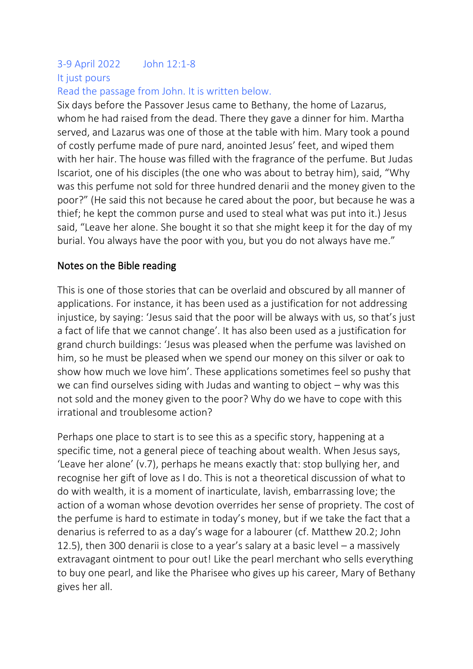# 3-9 April 2022 John 12:1-8 It just pours

## Read the passage from John. It is written below.

Six days before the Passover Jesus came to Bethany, the home of Lazarus, whom he had raised from the dead. There they gave a dinner for him. Martha served, and Lazarus was one of those at the table with him. Mary took a pound of costly perfume made of pure nard, anointed Jesus' feet, and wiped them with her hair. The house was filled with the fragrance of the perfume. But Judas Iscariot, one of his disciples (the one who was about to betray him), said, "Why was this perfume not sold for three hundred denarii and the money given to the poor?" (He said this not because he cared about the poor, but because he was a thief; he kept the common purse and used to steal what was put into it.) Jesus said, "Leave her alone. She bought it so that she might keep it for the day of my burial. You always have the poor with you, but you do not always have me."

### Notes on the Bible reading

This is one of those stories that can be overlaid and obscured by all manner of applications. For instance, it has been used as a justification for not addressing injustice, by saying: 'Jesus said that the poor will be always with us, so that's just a fact of life that we cannot change'. It has also been used as a justification for grand church buildings: 'Jesus was pleased when the perfume was lavished on him, so he must be pleased when we spend our money on this silver or oak to show how much we love him'. These applications sometimes feel so pushy that we can find ourselves siding with Judas and wanting to object  $-$  why was this not sold and the money given to the poor? Why do we have to cope with this irrational and troublesome action?

Perhaps one place to start is to see this as a specific story, happening at a specific time, not a general piece of teaching about wealth. When Jesus says, 'Leave her alone' (v.7), perhaps he means exactly that: stop bullying her, and recognise her gift of love as I do. This is not a theoretical discussion of what to do with wealth, it is a moment of inarticulate, lavish, embarrassing love; the action of a woman whose devotion overrides her sense of propriety. The cost of the perfume is hard to estimate in today's money, but if we take the fact that a denarius is referred to as a day's wage for a labourer (cf. Matthew 20.2; John 12.5), then 300 denarii is close to a year's salary at a basic level – a massively extravagant ointment to pour out! Like the pearl merchant who sells everything to buy one pearl, and like the Pharisee who gives up his career, Mary of Bethany gives her all.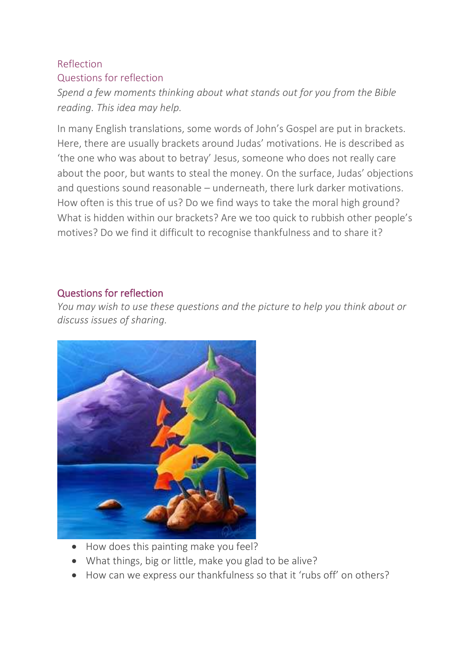# Reflection Questions for reflection

*Spend a few moments thinking about what stands out for you from the Bible reading. This idea may help.*

In many English translations, some words of John's Gospel are put in brackets. Here, there are usually brackets around Judas' motivations. He is described as 'the one who was about to betray' Jesus, someone who does not really care about the poor, but wants to steal the money. On the surface, Judas' objections and questions sound reasonable – underneath, there lurk darker motivations. How often is this true of us? Do we find ways to take the moral high ground? What is hidden within our brackets? Are we too quick to rubbish other people's motives? Do we find it difficult to recognise thankfulness and to share it?

## Questions for reflection

*You may wish to use these questions and the picture to help you think about or discuss issues of sharing.*



- How does this painting make you feel?
- What things, big or little, make you glad to be alive?
- How can we express our thankfulness so that it 'rubs off' on others?